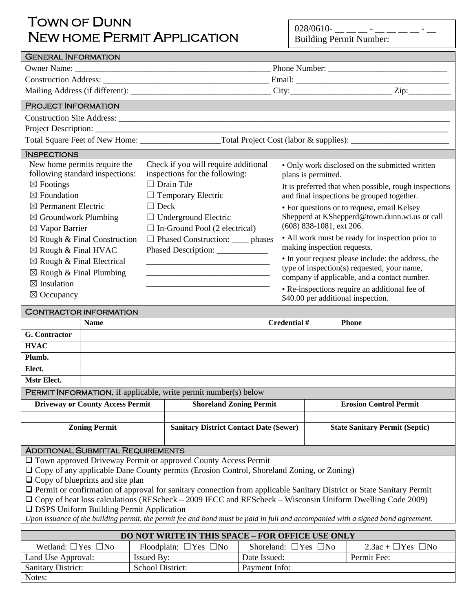# TOWN OF DUNN NEW HOME PERMIT APPLICATION

Notes: Ī

 $028/0610$ - \_ \_ \_ \_ - \_ \_ \_ \_ \_ \_ - \_ Building Permit Number:

| <b>GENERAL INFORMATION</b>                                                                                                                                         |                                     |                                               |                                |                                                |                                                       |                                                  |  |
|--------------------------------------------------------------------------------------------------------------------------------------------------------------------|-------------------------------------|-----------------------------------------------|--------------------------------|------------------------------------------------|-------------------------------------------------------|--------------------------------------------------|--|
|                                                                                                                                                                    |                                     |                                               |                                |                                                |                                                       |                                                  |  |
|                                                                                                                                                                    |                                     |                                               |                                |                                                |                                                       |                                                  |  |
|                                                                                                                                                                    |                                     |                                               |                                |                                                |                                                       |                                                  |  |
| <b>PROJECT INFORMATION</b>                                                                                                                                         |                                     |                                               |                                |                                                |                                                       |                                                  |  |
| Construction Site Address: Law Construction Site Address:                                                                                                          |                                     |                                               |                                |                                                |                                                       |                                                  |  |
|                                                                                                                                                                    |                                     |                                               |                                |                                                |                                                       |                                                  |  |
|                                                                                                                                                                    |                                     |                                               |                                |                                                |                                                       |                                                  |  |
| <b>INSPECTIONS</b>                                                                                                                                                 |                                     |                                               |                                |                                                |                                                       |                                                  |  |
| New home permits require the                                                                                                                                       |                                     | Check if you will require additional          |                                | • Only work disclosed on the submitted written |                                                       |                                                  |  |
| following standard inspections:                                                                                                                                    |                                     |                                               | inspections for the following: |                                                | plans is permitted.                                   |                                                  |  |
| $\boxtimes$ Footings                                                                                                                                               |                                     |                                               | $\Box$ Drain Tile              |                                                | It is preferred that when possible, rough inspections |                                                  |  |
| $\boxtimes$ Foundation                                                                                                                                             |                                     |                                               | $\Box$ Temporary Electric      |                                                | and final inspections be grouped together.            |                                                  |  |
| $\boxtimes$ Permanent Electric                                                                                                                                     | $\Box$ Deck                         |                                               |                                |                                                | • For questions or to request, email Kelsey           |                                                  |  |
| $\boxtimes$ Groundwork Plumbing                                                                                                                                    |                                     | $\Box$ Underground Electric                   |                                | Shepperd at KShepperd@town.dunn.wi.us or call  |                                                       |                                                  |  |
| $\boxtimes$ Vapor Barrier                                                                                                                                          |                                     | $\Box$ In-Ground Pool (2 electrical)          |                                |                                                | (608) 838-1081, ext 206.                              |                                                  |  |
| $\boxtimes$ Rough & Final Construction                                                                                                                             | □ Phased Construction: _____ phases |                                               |                                |                                                |                                                       | • All work must be ready for inspection prior to |  |
| $\boxtimes$ Rough & Final HVAC                                                                                                                                     |                                     |                                               |                                | making inspection requests.                    |                                                       |                                                  |  |
| $\boxtimes$ Rough & Final Electrical                                                                                                                               |                                     |                                               |                                |                                                | • In your request please include: the address, the    |                                                  |  |
| $\boxtimes$ Rough & Final Plumbing                                                                                                                                 |                                     |                                               |                                |                                                | type of inspection(s) requested, your name,           |                                                  |  |
| $\boxtimes$ Insulation                                                                                                                                             |                                     |                                               |                                |                                                | company if applicable, and a contact number.          |                                                  |  |
| $\boxtimes$ Occupancy                                                                                                                                              |                                     |                                               |                                |                                                | • Re-inspections require an additional fee of         |                                                  |  |
|                                                                                                                                                                    |                                     |                                               |                                |                                                |                                                       | \$40.00 per additional inspection.               |  |
| <b>CONTRACTOR INFORMATION</b>                                                                                                                                      |                                     |                                               |                                |                                                |                                                       |                                                  |  |
| <b>Name</b>                                                                                                                                                        |                                     |                                               |                                | Credential #                                   |                                                       | <b>Phone</b>                                     |  |
| G. Contractor                                                                                                                                                      |                                     |                                               |                                |                                                |                                                       |                                                  |  |
| HVAC                                                                                                                                                               |                                     |                                               |                                |                                                |                                                       |                                                  |  |
| Plumb.                                                                                                                                                             |                                     |                                               |                                |                                                |                                                       |                                                  |  |
| Elect.                                                                                                                                                             |                                     |                                               |                                |                                                |                                                       |                                                  |  |
| Mstr Elect.                                                                                                                                                        |                                     |                                               |                                |                                                |                                                       |                                                  |  |
| PERMIT INFORMATION, if applicable, write permit number(s) below                                                                                                    |                                     |                                               |                                |                                                |                                                       |                                                  |  |
| <b>Driveway or County Access Permit</b>                                                                                                                            |                                     | <b>Shoreland Zoning Permit</b>                |                                |                                                |                                                       | <b>Erosion Control Permit</b>                    |  |
|                                                                                                                                                                    |                                     |                                               |                                |                                                |                                                       |                                                  |  |
| <b>Zoning Permit</b>                                                                                                                                               |                                     | <b>Sanitary District Contact Date (Sewer)</b> |                                |                                                | <b>State Sanitary Permit (Septic)</b>                 |                                                  |  |
| <b>ADDITIONAL SUBMITTAL REQUIREMENTS</b>                                                                                                                           |                                     |                                               |                                |                                                |                                                       |                                                  |  |
|                                                                                                                                                                    |                                     |                                               |                                |                                                |                                                       |                                                  |  |
| Town approved Driveway Permit or approved County Access Permit<br>$\Box$ Copy of any applicable Dane County permits (Erosion Control, Shoreland Zoning, or Zoning) |                                     |                                               |                                |                                                |                                                       |                                                  |  |
| $\Box$ Copy of blueprints and site plan                                                                                                                            |                                     |                                               |                                |                                                |                                                       |                                                  |  |
| $\Box$ Permit or confirmation of approval for sanitary connection from applicable Sanitary District or State Sanitary Permit                                       |                                     |                                               |                                |                                                |                                                       |                                                  |  |
| $\Box$ Copy of heat loss calculations (REScheck – 2009 IECC and REScheck – Wisconsin Uniform Dwelling Code 2009)                                                   |                                     |                                               |                                |                                                |                                                       |                                                  |  |
| □ DSPS Uniform Building Permit Application                                                                                                                         |                                     |                                               |                                |                                                |                                                       |                                                  |  |
| Upon issuance of the building permit, the permit fee and bond must be paid in full and accompanied with a signed bond agreement.                                   |                                     |                                               |                                |                                                |                                                       |                                                  |  |
| DO NOT WRITE IN THIS SPACE - FOR OFFICE USE ONLY                                                                                                                   |                                     |                                               |                                |                                                |                                                       |                                                  |  |
| Wetland: $\Box$ Yes $\Box$ No                                                                                                                                      |                                     | Floodplain: $\Box$ Yes $\Box$ No              |                                | Shoreland: $\Box$ Yes $\Box$ No                |                                                       | $2.3ac + \Box Yes \Box No$                       |  |
| Land Use Approval:                                                                                                                                                 | <b>Issued By:</b>                   |                                               | Date Issued:<br>Permit Fee:    |                                                |                                                       |                                                  |  |
| <b>Sanitary District:</b>                                                                                                                                          | School District:                    |                                               | Payment Info:                  |                                                |                                                       |                                                  |  |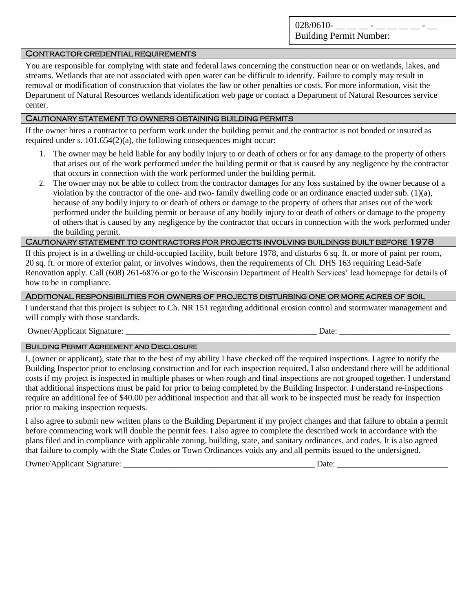028/0610-

Building Permit Number:

#### CONTRACTOR CREDENTIAL REQUIREMENTS

You are responsible for complying with state and federal laws concerning the construction near or on wetlands, lakes, and streams. Wetlands that are not associated with open water can be difficult to identify. Failure to comply may result in removal or modification of construction that violates the law or other penalties or costs. For more information, visit the Department of Natural Resources wetlands identification web page or contact a Department of Natural Resources service center.

### CAUTIONARY STATEMENT TO OWNERS OBTAINING BUILDING PERMITS

If the owner hires a contractor to perform work under the building permit and the contractor is not bonded or insured as required under s. 101.654(2)(a), the following consequences might occur:

- 1. The owner may be held liable for any bodily injury to or death of others or for any damage to the property of others that arises out of the work performed under the building permit or that is caused by any negligence by the contractor that occurs in connection with the work performed under the building permit.
- 2. The owner may not be able to collect from the contractor damages for any loss sustained by the owner because of a violation by the contractor of the one- and two- family dwelling code or an ordinance enacted under sub. (1)(a), because of any bodily injury to or death of others or damage to the property of others that arises out of the work performed under the building permit or because of any bodily injury to or death of others or damage to the property of others that is caused by any negligence by the contractor that occurs in connection with the work performed under the building permit.

### CAUTIONARY STATEMENT TO CONTRACTORS FOR PROJECTS INVOLVING BUILDINGS BUILT BEFORE 1978

If this project is in a dwelling or child-occupied facility, built before 1978, and disturbs 6 sq. ft. or more of paint per room, 20 sq. ft. or more of exterior paint, or involves windows, then the requirements of Ch. DHS 163 requiring Lead-Safe Renovation apply. Call (608) 261-6876 or go to the Wisconsin Department of Health Services' lead homepage for details of how to be in compliance.

#### ADDITIONAL RESPONSIBILITIES FOR OWNERS OF PROJECTS DISTURBING ONE OR MORE ACRES OF SOIL

I understand that this project is subject to Ch. NR 151 regarding additional erosion control and stormwater management and will comply with those standards.

Owner/Applicant Signature: \_\_\_\_\_\_\_\_\_\_\_\_\_\_\_\_\_\_\_\_\_\_\_\_\_\_\_\_\_\_\_\_\_\_\_\_\_\_\_\_\_\_\_\_\_ Date: \_\_\_\_\_\_\_\_\_\_\_\_\_\_\_\_\_\_\_\_\_\_\_\_\_\_

#### BUILDING PERMIT AGREEMENT AND DISCLOSURE

I, (owner or applicant), state that to the best of my ability I have checked off the required inspections. I agree to notify the Building Inspector prior to enclosing construction and for each inspection required. I also understand there will be additional costs if my project is inspected in multiple phases or when rough and final inspections are not grouped together. I understand that additional inspections must be paid for prior to being completed by the Building Inspector. I understand re-inspections require an additional fee of \$40.00 per additional inspection and that all work to be inspected must be ready for inspection prior to making inspection requests.

I also agree to submit new written plans to the Building Department if my project changes and that failure to obtain a permit before commencing work will double the permit fees. I also agree to complete the described work in accordance with the plans filed and in compliance with applicable zoning, building, state, and sanitary ordinances, and codes. It is also agreed that failure to comply with the State Codes or Town Ordinances voids any and all permits issued to the undersigned.

Owner/Applicant Signature: \_\_\_\_\_\_\_\_\_\_\_\_\_\_\_\_\_\_\_\_\_\_\_\_\_\_\_\_\_\_\_\_\_\_\_\_\_\_\_\_\_\_\_\_\_ Date: \_\_\_\_\_\_\_\_\_\_\_\_\_\_\_\_\_\_\_\_\_\_\_\_\_\_